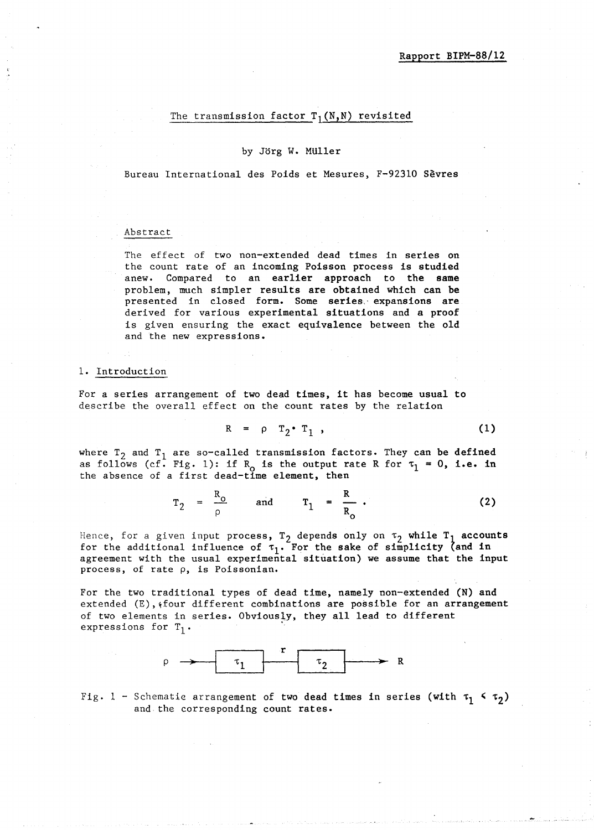## The transmission factor  $T_1(N,N)$  revisited

## by Jorg W. MUller

Bureau International des Poids et Mesures, F-92310 Sevres

### Abstract

The effect of two non-extended dead times in series on the count rate of an incoming Poisson process is studied anew. Compared to an earlier approach to the same problem, much simpler results are obtained which can be presented in closed form. Some series.· expansions are derived for various experimental situations and a proof is given ensuring the exact equivalence between the old and the new expressions.

## 1. Introduction

For a series arrangement of two dead times, it has become usual to describe the overall effect on the count rates by the relation

$$
R = \rho T_2 \cdot T_1 , \qquad (1)
$$

where  $T_2$  and  $T_1$  are so-called transmission factors. They can be defined as follows (cf. Fig. 1): if  $R_0$  is the output rate R for  $\tau_1 = 0$ , i.e. in the absence of a first dead-time element, then

$$
r_2 = \frac{R_o}{\rho} \quad \text{and} \quad r_1 = \frac{R}{R_o} \,. \tag{2}
$$

Hence, for a given input process,  $T_2$  depends only on  $\tau_2$  while  $T_1$  accounts for the additional influence of  $\tau_1$ . For the sake of simplicity (and in agreement with the usual experimental situation) we assume that the input process, of rate p, is Poissonian.

For the two traditional types of dead time, namely non-extended (N) and  $extended (E),$   ${four different combinations are possible for an arrangement}$ of two elements in series. Obviously, they all lead to different expressions for  $T_1$ .



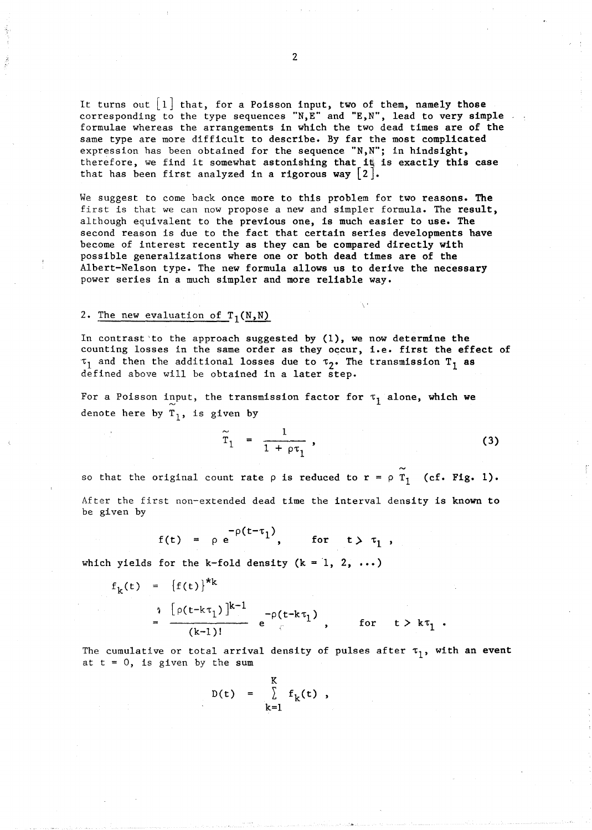It turns out  $\lfloor 1 \rfloor$  that, for a Poisson input, two of them, namely those corresponding to the type sequences "N, E" and "E, N", lead to very simple formulae whereas the arrangements in which the two dead times are of the same type are more difficult to describe. By far the most complicated expression has been obtained for the sequence "N,N"; in hindsight, therefore, we find it somewhat astonishing that it is exactly this case that has been first analyzed in a rigorous way  $\lfloor 2 \rfloor$ .

We suggest to come back once more to this problem for two reasons. The first is that we can now propose a new and simpler formula. The result, although equivalent to the previous one, is much easier to use. The second reason is due to the fact that certain series developments have become of interest recently as they can be compared directly with possible generalizations where one or both dead times are of the Albert-Nelson type. The new formula allows us to derive the necessary power series in a much simpler and more reliable way.

## 2. The new evaluation of  $T_1(N,N)$

In contrast 'to the approach suggested by (1), we now determine the counting losses in the same order as they occur, i.e. first the effect of  $\tau_1$  and then the additional losses due to  $\tau_2$ . The transmission  $T_1$  as defined above will be obtained in a later step.

For a Poisson input, the transmission factor for  $\tau_1$  alone, which we denote here by  $T_1$ , is given by

$$
\widetilde{\mathbf{T}}_1 = \frac{1}{1 + \rho \tau_1},
$$

(3)

so that the original count rate  $\rho$  is reduced to  $r = \rho T_1$  (cf. Fig. 1).

After the first non-extended dead time the interval density is known to be given by

$$
f(t) = \rho e^{-\rho(t-\tau_1)}, \quad \text{for} \quad t > \tau_1,
$$

which yields for the k-fold density  $(k = 1, 2, ...)$ 

$$
f_{k}(t) = {f(t)}^{*k}
$$
  
\n
$$
= \frac{\left[\rho(t - k\tau_{1})\right]^{k-1}}{(k-1)!} e^{-\rho(t - k\tau_{1})}, \quad \text{for} \quad t > k\tau_{1}.
$$

The cumulative or total arrival density of pulses after  $\tau_1$ , with an event at  $t = 0$ , is given by the sum

$$
D(t) = \sum_{k=1}^{K} f_k(t) ,
$$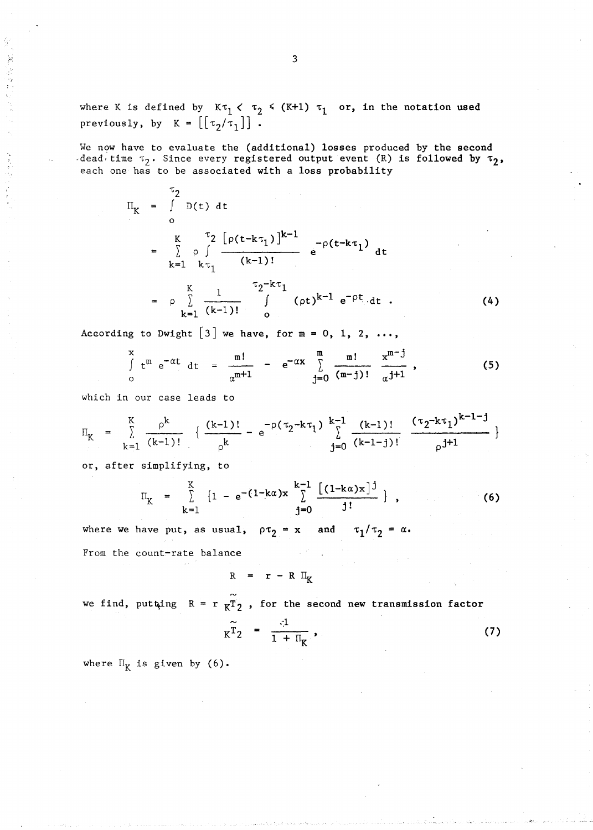where K is defined by  $K_{1} \lt \tau_{2} \lt (K+1) \tau_{1}$  or, in the notation used previously, by  $K = \left[ \begin{bmatrix} \tau_2 / \tau_1 \end{bmatrix} \right]$ .

We now have to evaluate the (additional) losses produced by the second dead, time  $\tau_2$ . Since every registered output event (R) is followed by  $\tau_2$ , each one has to be associated with a loss probability

$$
\Pi_{K} = \int_{0}^{t_{2}} D(t) dt
$$
\n
$$
= \sum_{k=1}^{K} \rho \int_{k\tau_{1}}^{\tau_{2}} \frac{[\rho(t - k\tau_{1})]^{k-1}}{(k-1)!} e^{-\rho(t - k\tau_{1})} dt
$$
\n
$$
= \rho \sum_{k=1}^{K} \frac{1}{(k-1)!} \int_{0}^{\tau_{2} - k\tau_{1}} (\rho t)^{k-1} e^{-\rho t} dt . \qquad (4)
$$

According to Dwight  $[3]$  we have, for  $m = 0, 1, 2, ...$ ,

$$
\int_{0}^{x} t^{m} e^{-\alpha t} dt = \frac{m!}{\alpha^{m+1}} - e^{-\alpha x} \sum_{j=0}^{m} \frac{m!}{(m-j)!} \frac{x^{m-j}}{\alpha^{j+1}},
$$
 (5)

which in our case leads to

$$
\Pi_{K} = \sum_{k=1}^{K} \frac{\rho^{k}}{(k-1)!} \left\{ \frac{(k-1)!}{\rho^{k}} - e^{-\rho(\tau_{2} - k\tau_{1})} \sum_{j=0}^{k-1} \frac{(k-1)!}{(k-1-j)!} \frac{(\tau_{2} - k\tau_{1})^{k-1-j}}{\rho^{j+1}} \right\}
$$

or, after simplifying, to

$$
\Pi_K = \sum_{k=1}^{K} \{1 - e^{-(1-k\alpha)x} \sum_{j=0}^{k-1} \frac{[(1-k\alpha)x]^j}{j!} \},
$$
 (6)

where we have put, as usual,  $\rho \tau_2 = x$  and  $\tau_1/\tau_2 = \alpha$ . From the count-rate balance

$$
R = r - R I_K
$$

we find, putting  $R = r \frac{m}{KT^2}$ , for the second new transmission factor

$$
K\widetilde{T}_2 = \frac{1}{1 + \Pi_K}, \qquad (7)
$$

where  $\Pi_K$  is given by (6).

 $\mathbb{R}^3$  , and the contract of the contract of the contract of the contract of  $\mathbf{3}$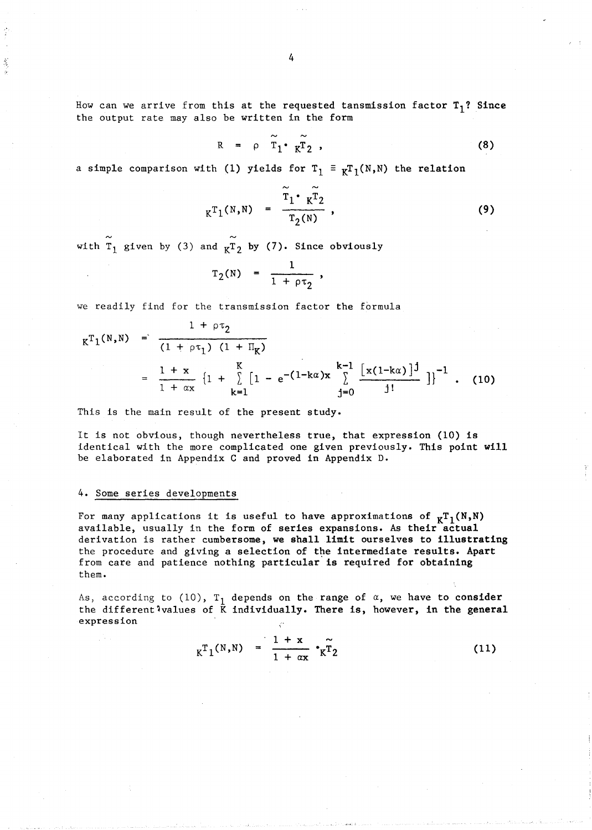How can we arrive from this at the requested tansmission factor  $T_1$ ? Since the output rate may also be written in the form

$$
R = \rho \widetilde{T}_1 \widetilde{r}_2 , \qquad (8)
$$

a simple comparison with (1) yields for  $T_1 \equiv \kappa T_1(N,N)$  the relation

$$
K^{T_1(N,N)} = \frac{\tilde{r}_1 \cdot K^{\tilde{T}_2}}{T_2(N)},
$$
\n(9)

with  $\tilde{T}_1$  given by (3) and  $\tilde{r}_2$  by (7). Since obviously

$$
\Gamma_2(N) = \frac{1}{1 + \rho \tau_2} ,
$$

we readily find for the transmission factor the formula

$$
K^{T_1(N,N)} = \frac{1 + \rho \tau_2}{(1 + \rho \tau_1) (1 + \Pi_K)}
$$
  
= 
$$
\frac{1 + x}{1 + \alpha x} \left\{ 1 + \sum_{k=1}^{K} \left[ 1 - e^{-(1 + k\alpha)x} \sum_{j=0}^{k-1} \frac{\left[ x(1 - k\alpha) \right]^j}{j!} \right] \right\}^{-1}
$$
 (10)

This is the main result of the present study.

It is not obvious, though nevertheless true, that expression (10) is identical with the more complicated one given previously. This point will be elaborated in Appendix C and proved in Appendix D.

## 4. Some series developments

For many applications it is useful to have approximations of  $_KT_1(N,N)$ available, usually in the form of series expansions. As their actual derivation is rather cumbersome, we shall limit ourselves to illustrating the procedure and giving a selection of the intermediate results. Apart from care and patience nothing particular is required for obtaining them.

As, according to (10),  $T_1$  depends on the range of  $\alpha$ , we have to consider the different<sup>1</sup>values of  $\bar{K}$  individually. There is, however, in the general expression

$$
K^{T}1^{(N,N)} = \frac{1 + x}{1 + \alpha x} r_{K}^{T}2
$$
 (11)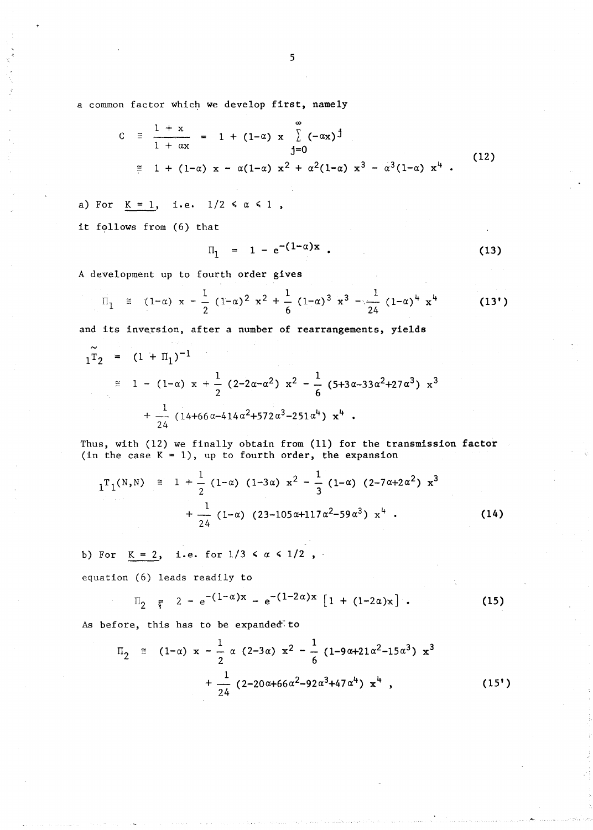a common factor which we develop first, namely

$$
C = \frac{1 + x}{1 + \alpha x} = 1 + (1 - \alpha) x \sum_{j=0}^{\infty} (-\alpha x)^j
$$
  
\n
$$
\approx 1 + (1 - \alpha) x - \alpha(1 - \alpha) x^2 + \alpha^2(1 - \alpha) x^3 - \alpha^3(1 - \alpha) x^4
$$
 (12)  
\n
$$
\frac{K}{1}, \frac{1}{1}, \frac{1}{1}, \frac{1}{1}, \frac{1}{1}, \frac{1}{1}, \frac{1}{2}, \frac{1}{2}, \frac{1}{2}, \frac{1}{2}, \frac{1}{2}, \frac{1}{2}, \frac{1}{2}, \frac{1}{2}, \frac{1}{2}, \frac{1}{2}, \frac{1}{2}, \frac{1}{2}, \frac{1}{2}, \frac{1}{2}, \frac{1}{2}, \frac{1}{2}, \frac{1}{2}, \frac{1}{2}, \frac{1}{2}, \frac{1}{2}, \frac{1}{2}, \frac{1}{2}, \frac{1}{2}, \frac{1}{2}, \frac{1}{2}, \frac{1}{2}, \frac{1}{2}, \frac{1}{2}, \frac{1}{2}, \frac{1}{2}, \frac{1}{2}, \frac{1}{2}, \frac{1}{2}, \frac{1}{2}, \frac{1}{2}, \frac{1}{2}, \frac{1}{2}, \frac{1}{2}, \frac{1}{2}, \frac{1}{2}, \frac{1}{2}, \frac{1}{2}, \frac{1}{2}, \frac{1}{2}, \frac{1}{2}, \frac{1}{2}, \frac{1}{2}, \frac{1}{2}, \frac{1}{2}, \frac{1}{2}, \frac{1}{2}, \frac{1}{2}, \frac{1}{2}, \frac{1}{2}, \frac{1}{2}, \frac{1}{2}, \frac{1}{2}, \frac{1}{2}, \frac{1}{2}, \frac{1}{2}, \frac{1}{2}, \frac{1}{2}, \frac{1}{2}, \frac{1}{2}, \frac{1}{2}, \frac{1}{2}, \frac{1}{2}, \frac{1}{2}, \frac{1}{2}, \frac{1}{2}, \frac{1}{2}, \frac{1}{2}, \frac{1}{2}, \frac{1}{2}, \frac{1}{2}, \frac{1}{2}, \frac{1}{2}, \frac{1}{2}, \frac{1}{2}, \frac{1}{2}, \frac{1}{2}, \frac{1}{2}, \frac{1}{2}, \frac{1}{2}, \frac{1}{2},
$$

a) For  $K = 1$ , i.e.  $1/2 \le \alpha \le 1$ ,

it follows from (6) that

$$
I_1 = 1 - e^{-(1-\alpha)x} \t\t(13)
$$

A development up to fourth order gives

$$
\Pi_1 \equiv (1-\alpha) x - \frac{1}{2} (1-\alpha)^2 x^2 + \frac{1}{6} (1-\alpha)^3 x^3 - \frac{1}{24} (1-\alpha)^4 x^4 \qquad (13')
$$

and its inversion, after a number of rearrangements, yields

$$
1\tilde{T}_2 = (1 + \Pi_1)^{-1}
$$
  
\n
$$
\approx 1 - (1 - \alpha) x + \frac{1}{2} (2 - 2\alpha - \alpha^2) x^2 - \frac{1}{6} (5 + 3\alpha - 33\alpha^2 + 27\alpha^3) x^3
$$
  
\n
$$
+ \frac{1}{24} (14 + 66\alpha - 414\alpha^2 + 572\alpha^3 - 251\alpha^4) x^4.
$$

Thus, with (12) we finally obtain from (11) for the transmission factor (in the case  $K = 1$ ), up to fourth order, the expansion

$$
1^{T}1^{(N,N)} \cong 1 + \frac{1}{2} (1-\alpha) (1-3\alpha) x^{2} - \frac{1}{3} (1-\alpha) (2-7\alpha+2\alpha^{2}) x^{3} + \frac{1}{24} (1-\alpha) (23-105\alpha+117\alpha^{2}-59\alpha^{3}) x^{4}
$$
 (14)

b) For  $K = 2$ , i.e. for  $1/3 < \alpha < 1/2$ ,

equation (6) leads readily to

$$
\Pi_2 = 2 - e^{-(1-\alpha)x} - e^{-(1-2\alpha)x} [1 + (1-2\alpha)x]. \qquad (15)
$$

As before, this has to be expanded to

$$
\Pi_2 \cong (1-\alpha) x - \frac{1}{2} \alpha (2-3\alpha) x^2 - \frac{1}{6} (1-9\alpha+21\alpha^2-15\alpha^3) x^3 + \frac{1}{24} (2-20\alpha+66\alpha^2-92\alpha^3+47\alpha^4) x^4 ,
$$
 (15')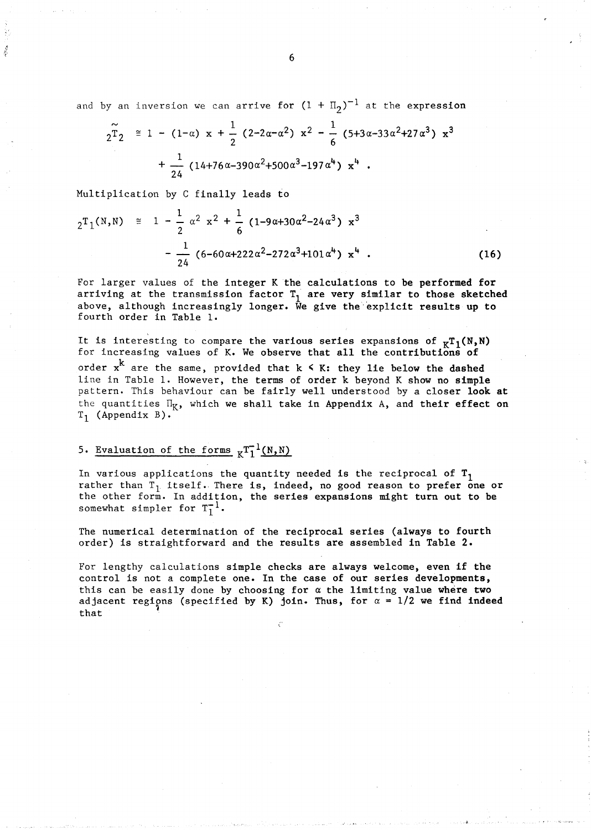and by an inversion we can arrive for  $(1 + \Pi_2)^{-1}$  at the expression

$$
2^{\widetilde{T}}2 \cong 1 - (1-\alpha) x + \frac{1}{2} (2-2\alpha-\alpha^2) x^2 - \frac{1}{6} (5+3\alpha-33\alpha^2+27\alpha^3) x^3
$$
  
  $+ \frac{1}{24} (14+76\alpha-390\alpha^2+500\alpha^3-197\alpha^4) x^4$ .

Multiplication by C finally leads to

$$
2^{T}1^{(N,N)} \cong 1 - \frac{1}{2} \alpha^{2} x^{2} + \frac{1}{6} (1 - 9\alpha + 30\alpha^{2} - 24\alpha^{3}) x^{3}
$$

$$
- \frac{1}{24} (6 - 60\alpha + 222\alpha^{2} - 272\alpha^{3} + 101\alpha^{4}) x^{4} . \qquad (16)
$$

For larger values of the integer K the calculations to be performed for arriving at the transmission factor  $T_1$  are very similar to those sketched above, although increasingly longer. We give the explicit results up to fourth order in Table 1.

It is interesting to compare the various series expansions of  $<sub>K</sub>T_1(N,N)$ </sub> for increasing values of K. We observe that all the contributions of order  $x^k$  are the same, provided that  $k \leq K$ : they lie below the dashed line in Table 1. However, the terms of order k beyond K show no simple pattern. This behaviour can be fairly well understood by a closer look at the quantities  $\Pi_K$ , which we shall take in Appendix A, and their effect on  $T_1$  (Appendix B).

# 5. Evaluation of the forms  $K^{\text{T}}1^{\text{I}}(N,N)$

In various applications the quantity needed is the reciprocal of  $T_1$ rather than  $T_1$  itself. There is, indeed, no good reason to prefer one or the other form. In addition, the series expansions might turn out to be somewhat simpler for  $T_1^{-1}$ .

The numerical determination of the reciprocal series (always to fourth order) is straightforward and the results are assembled in Table 2.

For lengthy calculations simple checks are always welcome, even if the control is not a complete one. In the case of our series developments, this can be easily done by choosing for *a* the limiting value where two adjacent regions (specified by K) join. Thus, for  $\alpha = 1/2$  we find indeed that  $\int$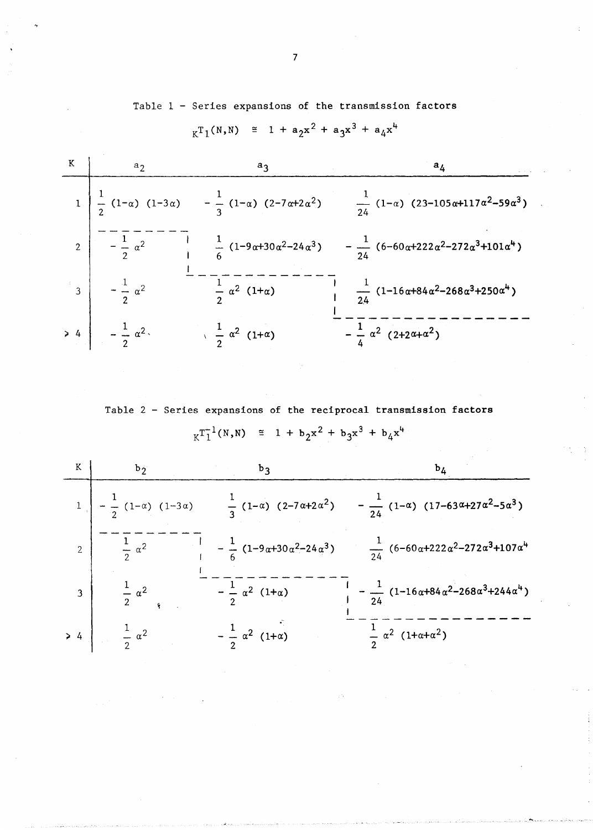Table 1 - Series expansions of the transmission factors

 $_{K}T_{1}(N,N) \cong 1 + a_{2}x^{2} + a_{3}x^{3} + a_{4}x^{4}$ 

| $a_2$                                                     | aι                                                                                                                     | $a_4$                                                                                                 |
|-----------------------------------------------------------|------------------------------------------------------------------------------------------------------------------------|-------------------------------------------------------------------------------------------------------|
|                                                           | 1 $\frac{1}{2}$ (1- $\alpha$ ) (1-3 $\alpha$ ) - $\frac{1}{3}$ (1- $\alpha$ ) (2-7 $\alpha$ +2 $\alpha$ <sup>2</sup> ) | $\frac{1}{24}$ (1- $\alpha$ ) (23-105 $\alpha$ +117 $\alpha$ <sup>2</sup> -59 $\alpha$ <sup>3</sup> ) |
| 2 $-\frac{1}{2} \alpha^2$                                 | $\frac{1}{6}$ (1-9 $\alpha$ +30 $\alpha$ <sup>2</sup> -24 $\alpha$ <sup>3</sup> )                                      | $-\frac{1}{2h}$ (6-60α+222α <sup>2</sup> -272α <sup>3</sup> +101α <sup>4</sup> )                      |
| $\begin{vmatrix} 3 \end{vmatrix}$ $-\frac{1}{2} \alpha^2$ | $rac{1}{2}$ $\alpha^2$ (1+ $\alpha$ )                                                                                  | $\frac{1}{24}$ (1-16α+84α <sup>2</sup> -268α <sup>3</sup> +250α <sup>4</sup> )                        |
| $> 4$ $-\frac{1}{2} \alpha^2$                             | $\frac{1}{2} \alpha^2 (1+\alpha)$                                                                                      | $-\frac{1}{4} \alpha^2 (2+2\alpha+\alpha^2)$                                                          |

Table 2 - Series expansions of the reciprocal transmission factors  $_{K}T_{1}^{-1}(N,N) \cong 1 + b_{2}x^{2} + b_{3}x^{3} + b_{4}x^{4}$ 

|                         | $b_{2}$                                           |                                                           |                                                                                                                |
|-------------------------|---------------------------------------------------|-----------------------------------------------------------|----------------------------------------------------------------------------------------------------------------|
|                         | $1\left[-\frac{1}{2}(1-\alpha)(1-3\alpha)\right]$ |                                                           | $\frac{1}{3}(1-\alpha)$ $(2-7\alpha+2\alpha^2)$ $-\frac{1}{24}(1-\alpha)$ $(17-63\alpha+27\alpha^2-5\alpha^3)$ |
|                         | $rac{1}{2}$ $\alpha^2$                            | $-\frac{1}{6}$ (1-9α+30α <sup>2</sup> -24α <sup>3</sup> ) | $\frac{1}{24} (6 - 60 \alpha + 222 \alpha^2 - 272 \alpha^3 + 107 \alpha^4)$                                    |
| $\overline{\mathbf{3}}$ | $rac{1}{2}$ $\alpha^2$                            | $-\frac{1}{2} \alpha^2 (1+\alpha)$                        | $-\frac{1}{24}$ (1-16α+84α <sup>2</sup> -268α <sup>3</sup> +244α <sup>4</sup> )                                |
|                         | $> 4$ $\frac{1}{2} \alpha^2$                      | $-\frac{1}{2} \alpha^2 (1+\alpha)$                        | $\frac{1}{2} \alpha^2 (1+\alpha+\alpha^2)$                                                                     |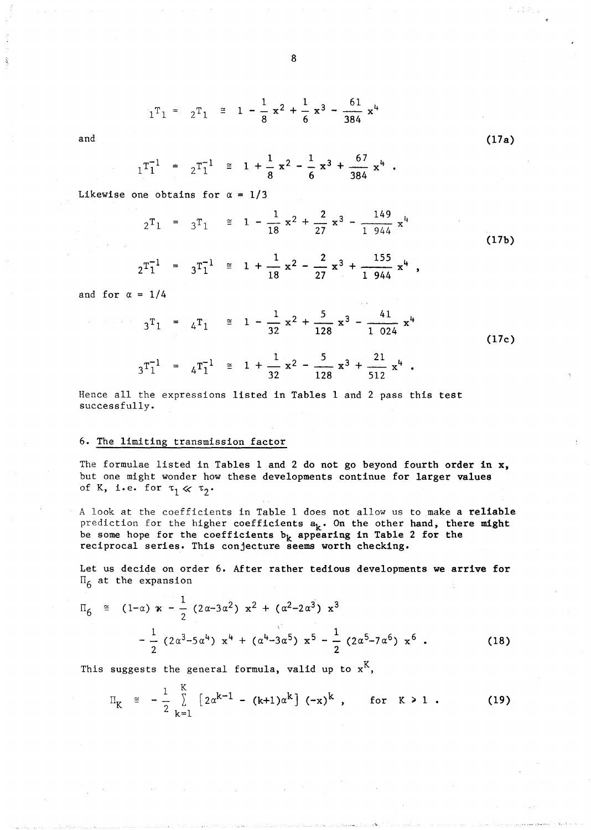$$
1^T1 = 2^T1 \equiv 1 - \frac{1}{8}x^2 + \frac{1}{6}x^3 - \frac{61}{384}x^4
$$

and

$$
1^T1^1 = 2^T1^1 \equiv 1 + \frac{1}{8}x^2 - \frac{1}{6}x^3 + \frac{67}{384}x^4
$$

Likewise one obtains for  $\alpha = 1/3$ 

$$
2^{T_1} = 3^{T_1} \cong 1 - \frac{1}{18} x^2 + \frac{2}{27} x^3 - \frac{149}{1944} x^4
$$
  

$$
2^{T_1^{-1}} = 3^{T_1^{-1}} \cong 1 + \frac{1}{18} x^2 - \frac{2}{27} x^3 + \frac{155}{1944} x^4,
$$
 (17b)

(17a)

and for  $\alpha = 1/4$ 

$$
3^{T_1} = 4^{T_1} \approx 1 - \frac{1}{32} x^2 + \frac{5}{128} x^3 - \frac{41}{1024} x^4
$$
  

$$
3^{T_1^{-1}} = 4^{T_1^{-1}} \approx 1 + \frac{1}{32} x^2 - \frac{5}{128} x^3 + \frac{21}{512} x^4
$$
 (17c)

Hence all the expressions listed in Tables 1 and 2 pass this test successfully.

### 6. The limiting transmission factor

The formulae listed in Tables 1 and 2 do not go beyond fourth order in x, but one might wonder how these developments continue for larger values of K, i.e. for  $\tau_1 \ll \tau_2$ .

A look at the coefficients in Table 1 does not allow us to make a reliable prediction for the higher coefficients  $a_k$ . On the other hand, there might be some hope for the coefficients  $b_k$  appearing in Table 2 for the reciprocal series. This conjecture seems worth checking.

Let us decide on order 6. After rather tedious developments we arrive for  $\Pi_6$  at the expansion

$$
\Pi_{6} \cong (1-\alpha) \times -\frac{1}{2} (2\alpha - 3\alpha^{2}) \times^{2} + (\alpha^{2} - 2\alpha^{3}) \times^{3}
$$

$$
-\frac{1}{2} (2\alpha^{3} - 5\alpha^{4}) \times^{4} + (\alpha^{4} - 3\alpha^{5}) \times^{5} - \frac{1}{2} (2\alpha^{5} - 7\alpha^{6}) \times^{6} .
$$
 (18)

This suggests the general formula, valid up to  $x<sup>K</sup>$ ,

$$
\Pi_{K} \cong -\frac{1}{2} \sum_{k=1}^{K} \left[ 2\alpha^{k-1} - (k+1)\alpha^{k} \right] (-x)^{k}, \quad \text{for } k \geq 1. \tag{19}
$$

$$
\mathbf{8}
$$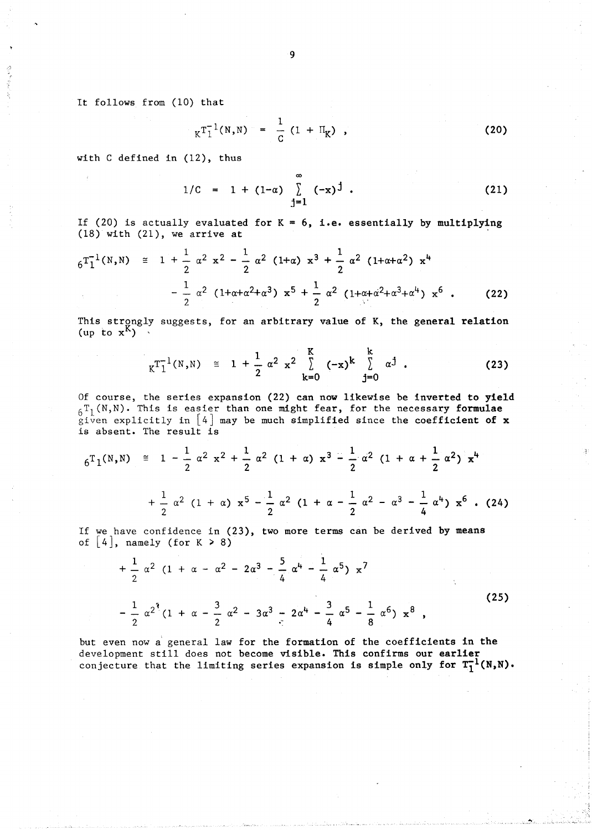It follows from (10) that

$$
K^{T_1^{-1}(N,N)} = \frac{1}{C} (1 + \Pi_K) ,
$$
 (20)

with C defined in (12), thus

$$
1/C = 1 + (1-\alpha) \sum_{j=1}^{\infty} (-x)^{j}
$$
 (21)

If (20) is actually evaluated for  $K = 6$ , i.e. essentially by multiplying (18) with (21), we arrive at

$$
6T_1^{-1}(N,N) \cong 1 + \frac{1}{2} \alpha^2 x^2 - \frac{1}{2} \alpha^2 (1+\alpha) x^3 + \frac{1}{2} \alpha^2 (1+\alpha+\alpha^2) x^4
$$

$$
- \frac{1}{2} \alpha^2 (1+\alpha+\alpha^2+\alpha^3) x^5 + \frac{1}{2} \alpha^2 (1+\alpha+\alpha^2+\alpha^3+\alpha^4) x^6 . \qquad (22)
$$

This strongly suggests, for an arbitrary value of K, the general relation (up to  $x^{K}$ )

$$
K^{T_1^{-1}(N,N)} \cong 1 + \frac{1}{2} \alpha^2 x^2 \sum_{k=0}^{K} (-x)^k \sum_{j=0}^{k} \alpha^j .
$$
 (23)

Of course, the series expansion (22) can now likewise be inverted to yield  $6T_1(N,N)$ . This is easier than one might fear, for the necessary formulae given explicitly in  $[4]$  may be much simplified since the coefficient of x is absent. The result is

$$
6^{T}1^{(N,N)} \cong 1 - \frac{1}{2} \alpha^{2} x^{2} + \frac{1}{2} \alpha^{2} (1 + \alpha) x^{3} - \frac{1}{2} \alpha^{2} (1 + \alpha + \frac{1}{2} \alpha^{2}) x^{4}
$$
  
+ 
$$
\frac{1}{2} \alpha^{2} (1 + \alpha) x^{5} - \frac{1}{2} \alpha^{2} (1 + \alpha - \frac{1}{2} \alpha^{2} - \alpha^{3} - \frac{1}{4} \alpha^{4}) x^{6} . (24)
$$

If we have confidence in (23), two more terms can be derived by means of  $[4]$ , namely (for  $K > 8$ )

$$
+\frac{1}{2} \alpha^{2} (1 + \alpha - \alpha^{2} - 2\alpha^{3} - \frac{5}{4} \alpha^{4} - \frac{1}{4} \alpha^{5}) x^{7}
$$
  

$$
-\frac{1}{2} \alpha^{2^{4}} (1 + \alpha - \frac{3}{2} \alpha^{2} - 3\alpha^{3} - 2\alpha^{4} - \frac{3}{4} \alpha^{5} - \frac{1}{8} \alpha^{6}) x^{8}
$$
 (25)

but even now a' general law for the formation of the coefficients in the development still does not become visible. This confirms our earlier conjecture that the limiting series expansion is simple only for  $T_1^{-1}(N,N)$ .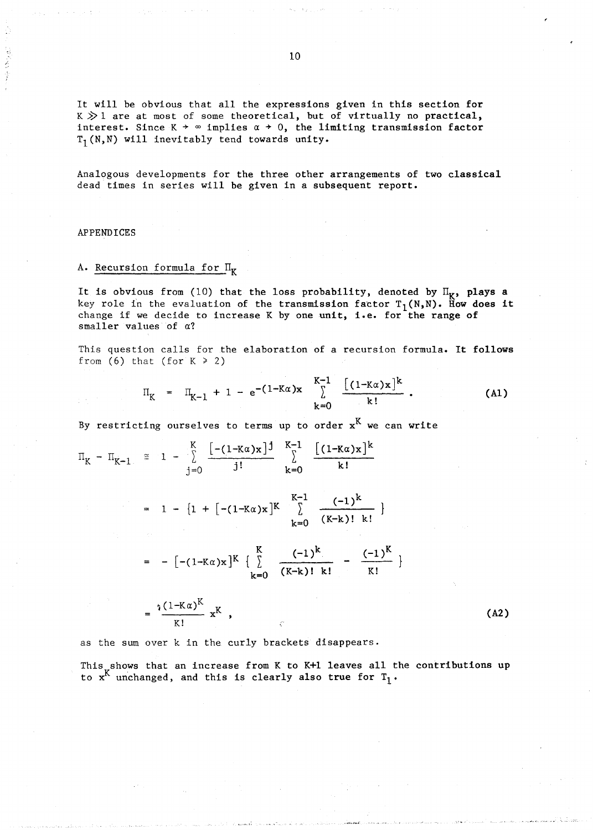It will be obvious that all the expressions given in this section for  $K \gg 1$  are at most of some theoretical, but of virtually no practical, interest. Since  $K \rightarrow \infty$  implies  $\alpha \rightarrow 0$ , the limiting transmission factor  $T_1(N,N)$  will inevitably tend towards unity.

Analogous developments for the three other arrangements of two classical dead times in series will be given in a subsequent report.

## APPENDICES

/.

## A. Recursion formula for  $\Pi_K$

It is obvious from (10) that the loss probability, denoted by  $II_K$ , plays a key role in the evaluation of the transmission factor  $T_1(N,N)$ . How does it change if we decide to increase K by one unit, i.e. for the range of smaller values of *a?* 

This question calls for the elaboration of a recursion formula. It follows from (6) that (for  $K \ge 2$ )

$$
\Pi_{K} = \Pi_{K-1} + 1 - e^{-(1-K\alpha)x} \sum_{k=0}^{K-1} \frac{[(1-K\alpha)x]^{k}}{k!}.
$$
 (A1)

By restricting ourselves to terms up to order  $x<sup>K</sup>$  we can write

$$
\Pi_{K} - \Pi_{K-1} \cong 1 - \sum_{j=0}^{K} \frac{[-(1 - K\alpha)x]^{j}}{j!} \sum_{k=0}^{K-1} \frac{[(1 - K\alpha)x]^{k}}{k!}
$$
  
\n
$$
= 1 - \{1 + [-(1 - K\alpha)x]^{K} \sum_{k=0}^{K-1} \frac{(-1)^{k}}{(K-k)! k!} \}
$$
  
\n
$$
= -[-(1 - K\alpha)x]^{K} \left\{ \sum_{k=0}^{K} \frac{(-1)^{k}}{(K-k)! k!} - \frac{(-1)^{K}}{K!} \right\}
$$
  
\n
$$
= \frac{\sqrt[3]{(1 - K\alpha)^{K}}}{K!} x^{K}, \qquad (A2)
$$

as the sum over k in the curly brackets disappears.

This shows that an increase from K to K+1 leaves all the contributions up to  $x^{K}$  unchanged, and this is clearly also true for  $T_1$ .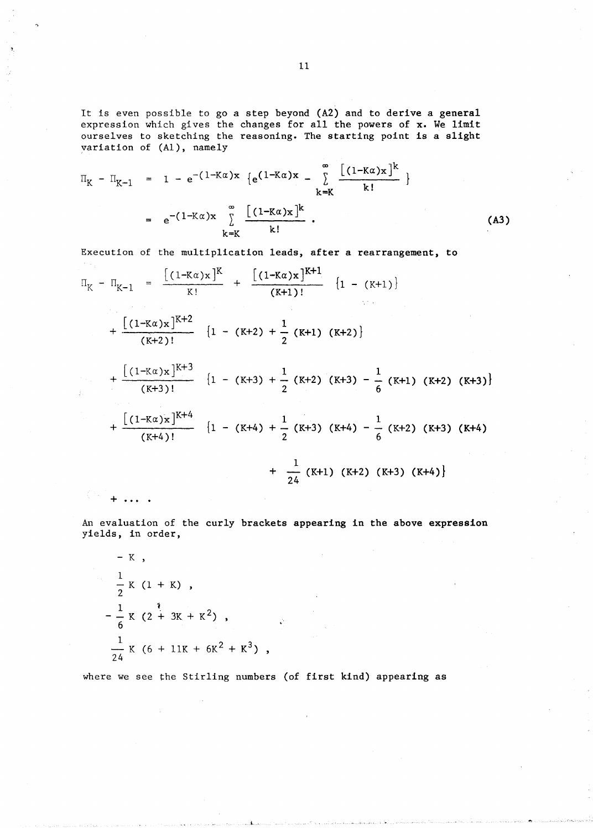It is even possible to go a step beyond (A2) and to derive a general expression which gives the changes for all the powers of x. We limit ourselves to sketching the reasoning. The starting point is a slight variation of  $(A1)$ , namely

$$
\Pi_{K} - \Pi_{K-1} = 1 - e^{-(1-K\alpha)x} \{e^{(1-K\alpha)x} - \sum_{k=K}^{\infty} \frac{[(1-K\alpha)x]^{k}}{k!} \}
$$
  
=  $e^{-(1-K\alpha)x} \sum_{k=K}^{\infty} \frac{[(1-K\alpha)x]^{k}}{k!}$ . (A3)

Execution of the multiplication leads, after a rearrangement, to

$$
\Pi_{K} - \Pi_{K-1} = \frac{[(1-K\alpha)x]^{K}}{K!} + \frac{[(1-K\alpha)x]^{K+1}}{(K+1)!} \{1 - (K+1)\}\
$$
\n
$$
+ \frac{[(1-K\alpha)x]^{K+2}}{(K+2)!} \{1 - (K+2) + \frac{1}{2}(K+1)(K+2)\}\
$$
\n
$$
+ \frac{[(1-K\alpha)x]^{K+3}}{(K+3)!} \{1 - (K+3) + \frac{1}{2}(K+2)(K+3) - \frac{1}{6}(K+1)(K+2)(K+3)\}\
$$
\n
$$
+ \frac{[(1-K\alpha)x]^{K+4}}{(K+4)!} \{1 - (K+4) + \frac{1}{2}(K+3)(K+4) - \frac{1}{6}(K+2)(K+3)(K+4)\}\
$$
\n
$$
+ \frac{1}{24}(K+1)(K+2)(K+3)(K+4)\}
$$

An evaluation of the curly brackets appearing in the above expression yields, in order,

- K ,  
\n
$$
\frac{1}{2}
$$
 K (1 + K) ,  
\n $-\frac{1}{6}$  K (2 + 3K + K<sup>2</sup>) ,  
\n $\frac{1}{24}$  K (6 + 11K + 6K<sup>2</sup> + K<sup>3</sup>) ,

>.

where we see the Stirling numbers (of first kind) appearing as

 $\mathbf{r}$  . .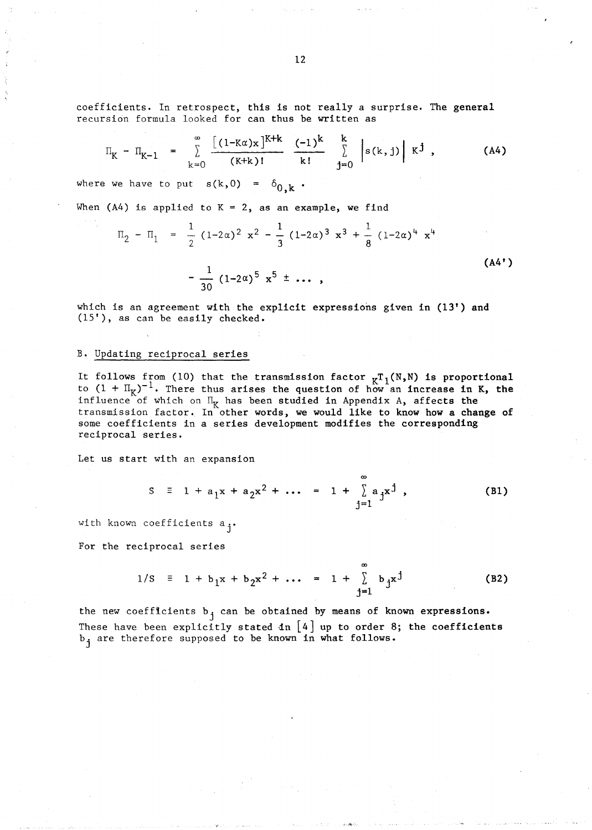coefficients. In retrospect, this is not really a surprise. The general recursion formula looked for can thus be written as

$$
\Pi_{K} - \Pi_{K-1} = \sum_{k=0}^{\infty} \frac{[(1 - K\alpha)x]^{K+k}}{(K+k)!} \frac{(-1)^{k}}{k!} \sum_{j=0}^{k} |s(k,j)| K^{j}, \qquad (A4)
$$

where we have to put  $s(k,0)$  =

When  $(A4)$  is applied to  $K = 2$ , as an example, we find

$$
\Pi_2 - \Pi_1 = \frac{1}{2} (1 - 2\alpha)^2 x^2 - \frac{1}{3} (1 - 2\alpha)^3 x^3 + \frac{1}{8} (1 - 2\alpha)^4 x^4
$$
  

$$
- \frac{1}{30} (1 - 2\alpha)^5 x^5 \pm \cdots,
$$
 (A4')

which is an agreement with the explicit expressions given in (13') and (15'), as can be easily checked.

#### B. Updating reciprocal series

It follows from (10) that the transmission factor  $_KT_1(N,N)$  is proportional to  $(1 + \Pi_K)^{-1}$ . There thus arises the question of how an increase in K, the influence of which on  $\Pi_K$  has been studied in Appendix A, affects the transmission factor. In other words, we would like to know how a change of some coefficients in a series development modifies the corresponding reciprocal series.

Let us start with an expansion

$$
S = 1 + a_1 x + a_2 x^2 + \cdots = 1 + \sum_{i=1}^{\infty} a_i x^j,
$$
 (B1)

 $\alpha$ 

with known coefficients a<sub>j</sub>.

For the reciprocal series

$$
1/S = 1 + b_1 x + b_2 x^2 + \dots = 1 + \sum_{i=1}^{\infty} b_i x^j
$$
 (B2)

the new coefficients  $b_j$  can be obtained by means of known expressions. These have been explicitly stated  $dn \mid 4$  up to order 8; the coefficients b<sub>j</sub> are therefore supposed to be known in what follows.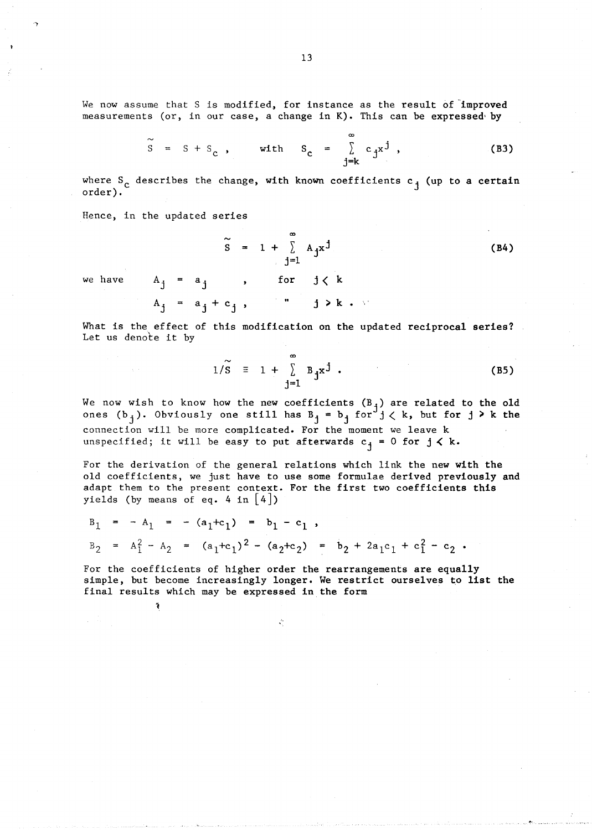We now assume that S is modified, for instance as the result of improved measurements (or, in our case, a change in K). This can be expressed by

$$
\tilde{S} = S + S_c, \quad \text{with} \quad S_c = \sum_{j=k}^{\infty} c_j x^j,
$$
 (B3)

 $\infty$ 

where  $S_c$  describes the change, with known coefficients  $c_j$  (up to a certain order).

Hence, in the updated series

Ř

$$
\widetilde{S} = 1 + \sum_{j=1}^{\infty} A_j x^j
$$
 (B4)

we have  $A_j = a_j$ , for  $j \, \langle k \rangle$ 

$$
A_j = a_j + c_j, \qquad j \ge k.
$$

What is the effect of this modification on the updated reciprocal series? Let us denote it by

$$
1/\widetilde{S} = 1 + \sum_{j=1}^{\infty} B_j x^j
$$
 (B5)

We now wish to know how the new coefficients  $(B_j)$  are related to the old ones  $(b_j)$ . Obviously one still has  $B_j = b_j$  for  $j < k$ , but for  $j \ge k$  the connection will be more complicated. For the moment we leave k unspecified; it will be easy to put afterwards  $c_j = 0$  for  $j \le k$ .

For the derivation of the general relations which link the new with the old coefficients, we just have to use some formulae derived previously and adapt them to the present context. For the first two coefficients this yields (by means of eq. 4 in  $|4|$ )

$$
B_1 = - A_1 = -(a_1+c_1) = b_1 - c_1,
$$
  
\n
$$
B_2 = A_1^2 - A_2 = (a_1+c_1)^2 - (a_2+c_2) = b_2 + 2a_1c_1 + c_1^2 - c_2.
$$

Å,

For the coefficients of higher order the rearrangements are equally simple, but become increasingly longer. We restrict ourselves to list the final results which may be expressed in the form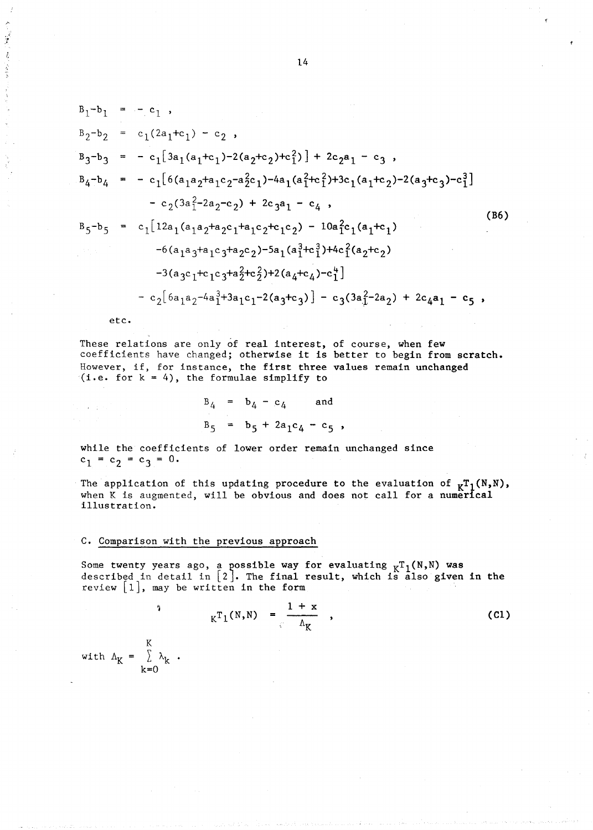$$
B_{1}-b_{1} = -c_{1},
$$
\n
$$
B_{2}-b_{2} = c_{1}(2a_{1}+c_{1}) - c_{2},
$$
\n
$$
B_{3}-b_{3} = -c_{1}[3a_{1}(a_{1}+c_{1})-2(a_{2}+c_{2})+c_{1}^{2}] + 2c_{2}a_{1} - c_{3},
$$
\n
$$
B_{4}-b_{4} = -c_{1}[6(a_{1}a_{2}+a_{1}c_{2}-a_{2}^{2}c_{1})-4a_{1}(a_{1}^{2}+c_{1}^{2})+3c_{1}(a_{1}+c_{2})-2(a_{3}+c_{3})-c_{1}^{3}]
$$
\n
$$
-c_{2}(3a_{1}^{2}-2a_{2}-c_{2}) + 2c_{3}a_{1} - c_{4},
$$
\n
$$
B_{5}-b_{5} = c_{1}[12a_{1}(a_{1}a_{2}+a_{2}c_{1}+a_{1}c_{2}+c_{1}c_{2}) - 10a_{1}^{2}c_{1}(a_{1}+c_{1})
$$
\n
$$
-6(a_{1}a_{3}+a_{1}c_{3}+a_{2}c_{2})-5a_{1}(a_{1}^{3}+c_{1}^{3})+4c_{1}^{2}(a_{2}+c_{2})
$$
\n
$$
-3(a_{3}c_{1}+c_{1}c_{3}+a_{2}^{2}+c_{2}^{2})+2(a_{4}+c_{4})-c_{1}^{4}]
$$
\n
$$
-c_{2}[6a_{1}a_{2}-4a_{1}^{3}+3a_{1}c_{1}-2(a_{3}+c_{3})] - c_{3}(3a_{1}^{2}-2a_{2}) + 2c_{4}a_{1} - c_{5},
$$

etc.

 $\alpha = 100$ 

 $\cdot$  ' ...

> These relations are only of real interest, of course, when few coefficients have changed; otherwise it is better to begin from scratch. However, if, for instance, the first three values remain unchanged  $(i.e. for k = 4)$ , the formulae simplify to

$$
B_4 = b_4 - c_4
$$
 and  
 $B_5 = b_5 + 2a_1c_4 - c_5$ ,

while the coefficients of lower order remain unchanged since  $c_1 = c_2 = c_3 = 0.$ 

The application of this updating procedure to the evaluation of  $_KT_1(N,N)$ , when K is augmented, will be obvious and does not call for a numerical illustration.

## C. Comparison with the previous approach

Some twenty years ago, a possible way for evaluating  $K^T1(N,N)$  was described in detail in  $[2]$ . The final result, which is also given in the review  $[1]$ , may be written in the form

$$
K^{T_{1}(N,N)} = \frac{1 + x}{\Lambda_{K}} \quad , \tag{C1}
$$

K *L* Ak k=O

')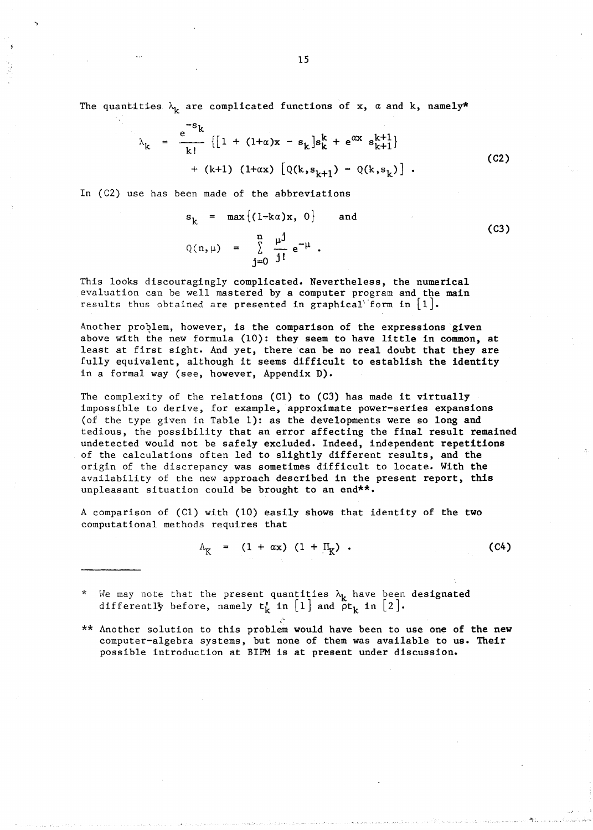The quantities  $\lambda_k$  are complicated functions of x,  $\alpha$  and k, namely\*

$$
\lambda_{k} = \frac{e^{-s_{k}}}{k!} \{ [1 + (1 + \alpha)x - s_{k}]s_{k}^{k} + e^{\alpha x} s_{k+1}^{k+1} \} + (k+1) (1 + \alpha x) [Q(k, s_{k+1}) - Q(k, s_{k})].
$$
\n(C2)

In *(C2)* use has been made of the abbreviations

 $Q(n,\mu) = \sum_{n=1}^{\infty} \frac{\mu^{\int}}{n} e^{-\mu}.$  $s_k = \max \{ (1-k\alpha)x, 0 \}$  $j=0$  j! and

(C3)

This looks discouragingly complicated. Nevertheless, the numerical evaluation can be well mastered by a computer program and the main results thus obtained are presented in graphical form in  $[1]$ .

Another problem, however, is the comparison of the expressions given above with the new formula (10): they seem to have little in common, at least at first sight. And yet, there can be no real doubt that they are fully equivalent, although it seems difficult to establish the identity in a formal way (see, however, Appendix D).

The complexity of the relations (Cl) to (C3) has made it virtually impossible to derive, for example, approximate power-series expansions (of the type given in Table 1): as the developments were so long and tedious, the possibility that an error affecting the final result remained undetected would not be safely excluded. Indeed, independent repetitions of the calculations often led to slightly different results, and the origin of the discrepancy was sometimes difficult to locate. With the availability of the new approach described in the present report, this unpleasant situation could be brought to an end\*\*.

A comparison of  $(Cl)$  with  $(10)$  easily shows that identity of the two computational methods requires that

> $\Lambda_{\rm K}$  = (1 +  $\alpha$ x) (1 +  $\rm{II}_{K}$ ) • (C4)

\* We may note that the present quantities  $\lambda_{\bf k}$  have been designated differently before, namely  $t_k$  in  $[1]$  and  $\delta t_k$  in  $[2]$ .

\*\* Another solution to this problem would have been to use one of the new computer-algebra systems, but none of them was available to us. Their possible introduction at BIPM is at present under discussion.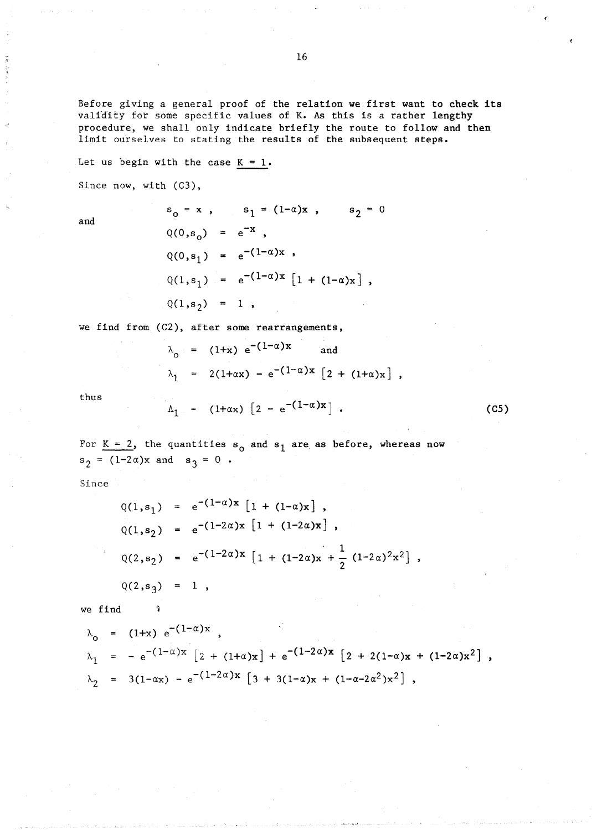Before giving a general proof of the relation we first want to check its validity for some specific values of K. As this is a rather lengthy procedure, we shall only indicate briefly the route to follow and then limit ourselves to stating the results of the subsequent steps.

Let us begin with the case  $K = 1$ .

Since now, with (C3),

and

$$
s_0 = x
$$
,  $s_1 = (1-\alpha)x$ ,  $s_2 = 0$   
\n $Q(0, s_0) = e^{-x}$ ,  
\n $Q(0, s_1) = e^{-(1-\alpha)x}$ ,  
\n $Q(1, s_1) = e^{-(1-\alpha)x} [1 + (1-\alpha)x]$ ,  
\n $Q(1, s_2) = 1$ ,

we find from (C2), after some rearrangements,

$$
\lambda_0 = (1+x) e^{-(1-\alpha)x}
$$
 and  
\n $\lambda_1 = 2(1+\alpha x) - e^{-(1-\alpha)x} [2 + (1+\alpha)x],$ 

(CS)

thus

$$
\Lambda_1
$$
 = (1+ $\alpha$ x) [2 - e<sup>-(1-\alpha)</sup>x].

For  $K = 2$ , the quantities  $s_0$  and  $s_1$  are as before, whereas now  $s_2 = (1-2\alpha)x$  and  $s_3 = 0$ .

Since

$$
Q(1,s_1) = e^{-(1-\alpha)x} [1 + (1-\alpha)x],
$$
  
\n
$$
Q(1,s_2) = e^{-(1-2\alpha)x} [1 + (1-2\alpha)x],
$$
  
\n
$$
Q(2,s_2) = e^{-(1-2\alpha)x} [1 + (1-2\alpha)x + \frac{1}{2} (1-2\alpha)^2x^2],
$$
  
\n
$$
Q(2,s_3) = 1,
$$

we find  $\sqrt{ }$ 

$$
\lambda_0 = (1+x) e^{-(1-\alpha)x},
$$
  
\n
$$
\lambda_1 = -e^{-(1-\alpha)x} [2 + (1+\alpha)x] + e^{-(1-2\alpha)x} [2 + 2(1-\alpha)x + (1-2\alpha)x^2],
$$
  
\n
$$
\lambda_2 = 3(1-\alpha x) - e^{-(1-2\alpha)x} [3 + 3(1-\alpha)x + (1-\alpha-2\alpha^2)x^2],
$$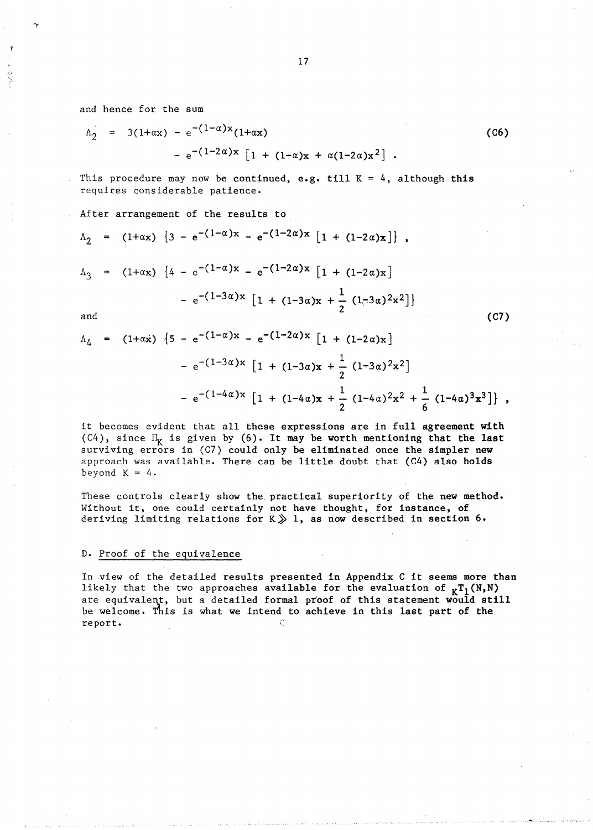and hence for the sum

$$
\Lambda_2 = 3(1+\alpha x) - e^{-(1-\alpha)x}(1+\alpha x) \n- e^{-(1-2\alpha)x} [1 + (1-\alpha)x + \alpha(1-2\alpha)x^2].
$$

This procedure may now be continued, e.g. till  $K = 4$ , although this requires considerable patience.

## After arrangement of the results to

$$
\Lambda_2 = (1+\alpha x) \{3 - e^{-(1-\alpha)x} - e^{-(1-2\alpha)x} [1 + (1-2\alpha)x]\},
$$
  

$$
\Lambda_3 = (1+\alpha x) \{4 - e^{-(1-\alpha)x} - e^{-(1-2\alpha)x} [1 + (1-2\alpha)x]
$$
  

$$
- e^{-(1-3\alpha)x} [1 + (1-3\alpha)x + \frac{1}{2} (1-3\alpha)^2x^2]\}
$$

and

$$
\Lambda_4 = (1+\alpha \dot{x}) \{5 - e^{-(1-\alpha)x} - e^{-(1-2\alpha)x} [1 + (1-2\alpha)x] \n- e^{-(1-3\alpha)x} [1 + (1-3\alpha)x + \frac{1}{2} (1-3\alpha)^2 x^2] \n- e^{-(1-4\alpha)x} [1 + (1-4\alpha)x + \frac{1}{2} (1-4\alpha)^2 x^2 + \frac{1}{6} (1-4\alpha)^3 x^3]\},
$$

it becomes evident that all these expressions are in full agreement with (C4), since  $\Pi_K$  is given by (6). It may be worth mentioning that the last surviving errors in (C7) could only be eliminated once the simpler new approach was available. There can be little doubt that (C4) also holds beyond  $K = 4$ .

These controls clearly show the practical superiority of the new method. Without it, one could certainly not have thought, for instance, of deriving limiting relations for  $K~$  1, as now described in section 6.

### D. Proof of the equivalence

In view of the detailed results presented in Appendix C it seems more than likely that the two approaches available for the evaluation of  $_KT_1(N,N)$ are equivalent, but a detailed formal proof of this statement would still be welcome. This is what we intend to achieve in this last part of the report.

(C6)

(C7)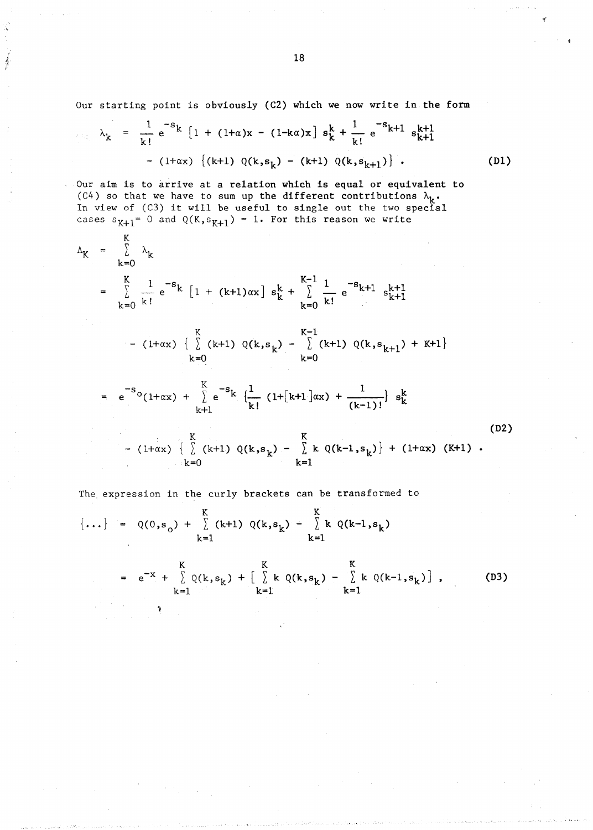Our starting point is obviously (C2) which we now write in the form

$$
\lambda_{k} = \frac{1}{k!} e^{-s_{k}} \left[ 1 + (1+\alpha)x - (1-k\alpha)x \right] s_{k}^{k} + \frac{1}{k!} e^{-s_{k+1}} s_{k+1}^{k+1}
$$
  
-  $(1+\alpha x) \left\{ (k+1) Q(k, s_{k}) - (k+1) Q(k, s_{k+1}) \right\}.$  (D1)

Our aim is to arrive at a relation which is equal or equivalent to (C4) so that we have to sum up the different contributions  $\lambda_k$ . In view of  $(C3)$  it will be useful to single out the two special cases  $s_{K+1} = 0$  and  $Q(K, s_{K+1}) = 1$ . For this reason we write

 $\boldsymbol{v}$ 

'j

$$
\Lambda_{K} = \sum_{k=0}^{K} \lambda_{k}
$$
\n
$$
= \sum_{k=0}^{K} \frac{1}{k!} e^{-s_{k}} [1 + (k+1)\alpha x] s_{k}^{k} + \sum_{k=0}^{K-1} \frac{1}{k!} e^{-s_{k+1}} s_{k+1}^{k+1}
$$
\n
$$
= (1+\alpha x) \left\{ \sum_{k=0}^{K} (k+1) Q(k, s_{k}) - \sum_{k=0}^{K-1} (k+1) Q(k, s_{k+1}) + K+1 \right\}
$$
\n
$$
= e^{-s_{0}} (1+\alpha x) + \sum_{k=1}^{K} e^{-s_{k}} \left\{ \frac{1}{k!} (1 + [k+1]\alpha x) + \frac{1}{(k-1)!} \right\} s_{k}^{k}
$$
\n
$$
= (1+\alpha x) \left\{ \sum_{k=0}^{K} (k+1) Q(k, s_{k}) - \sum_{k=1}^{K} k Q(k-1, s_{k}) \right\} + (1+\alpha x) (K+1).
$$
\n
$$
(D2)
$$
\n
$$
= (1+\alpha x) \left\{ \sum_{k=0}^{K} (k+1) Q(k, s_{k}) - \sum_{k=1}^{K} k Q(k-1, s_{k}) \right\} + (1+\alpha x) (K+1).
$$

The expression in the curly brackets can be transformed to

$$
\{\ldots\} = Q(0, s_0) + \sum_{k=1}^{K} (k+1) Q(k, s_k) - \sum_{k=1}^{K} k Q(k-1, s_k)
$$
  

$$
= e^{-X} + \sum_{k=1}^{K} Q(k, s_k) + [\sum_{k=1}^{K} k Q(k, s_k) - \sum_{k=1}^{K} k Q(k-1, s_k)],
$$
 (D3)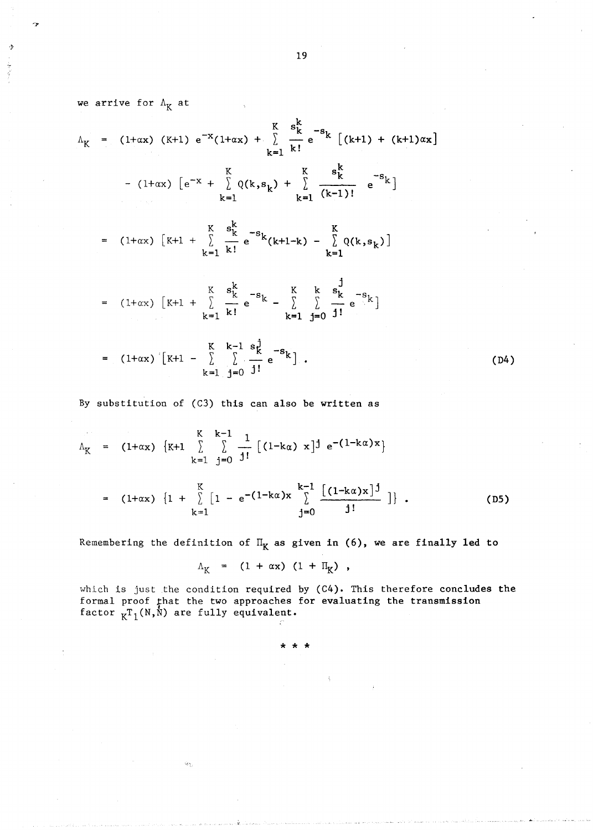we arrive for  $\Lambda_K$  at  $K_{R}$   $s_{k}^{k}$   $-s_{k}$  $(1+x)(k+1) e^{-x}(1+x) + \sum_{k=1}^{k} e^{-s} k \left[ (k+1) + (k+1) \alpha x \right]$  $k=1$   $k!$ K K - (1+ax)  $[e^{-x} + \sum Q(k, s_k) + \sum$  $k=1$   $k=1$   $(k-1)!$  $(1+\alpha x)$   $\begin{bmatrix}K+1 & + \end{bmatrix}$   $\begin{matrix}K & s_{k}^{k} \\ \frac{1}{k} & e^{-s_{k}}(k+1-k)\end{bmatrix}$  $k=1$  k! (1+ $\alpha$ x)  $\begin{bmatrix} K+1 & + \end{bmatrix}$   $\begin{matrix} K & s_K^K & -s_K \\ \frac{1}{2} & \frac{1}{2} & e \end{matrix}$   $\begin{matrix} K \\ -1 \end{matrix}$  $k=1$  k!  $k=1$  $(1+\alpha x)$   $\begin{bmatrix} K+1 & - \end{bmatrix}$   $\begin{bmatrix} K & k-1 & s_K \\ \end{bmatrix}$   $\begin{bmatrix} s & -s_K \\ \end{bmatrix}$ 

$$
= (1+\alpha x) [K+1 - \underset{k=1}{\lambda} \underset{j=0}{\lambda} - e^{K}]. \qquad (D4)
$$

By substitution of  $(C3)$  this can also be written as

$$
\Lambda_{K} = (1+\alpha x) \{K+1 \sum_{k=1}^{K} \sum_{j=0}^{k-1} \frac{1}{j!} [(1-k\alpha) x]^{j} e^{-(1-k\alpha)x} \}
$$
  

$$
= (1+\alpha x) \{1 + \sum_{k=1}^{K} [1 - e^{-(1-k\alpha)x} \sum_{j=0}^{k-1} \frac{[(1-k\alpha)x]^{j}}{j!} ] \}.
$$
 (D5)

Remembering the definition of  $\Pi_K$  as given in (6), we are finally led to

$$
\Lambda_{\mathbf{K}} = (1 + \alpha \mathbf{x}) (1 + \Pi_{\mathbf{K}}),
$$

which is just the condition required by *(C4).* This therefore concludes the formal proof that the two approaches for evaluating the transmission factor  $K_{\mathbb{K}}T_1(N,N)$  are fully equivalent.

\* \* \*